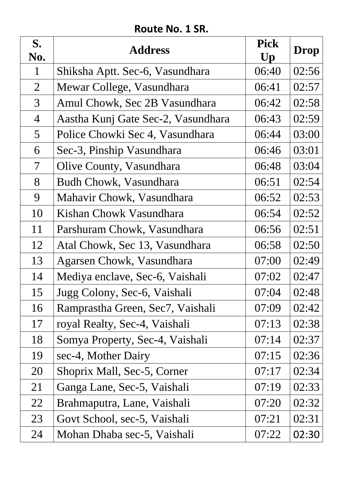### **Route No. 1 SR.**

| S.<br>No.       | <b>Address</b>                     | <b>Pick</b><br>Up | <b>Drop</b> |
|-----------------|------------------------------------|-------------------|-------------|
| $\mathbf{1}$    | Shiksha Aptt. Sec-6, Vasundhara    | 06:40             | 02:56       |
| $\overline{2}$  | Mewar College, Vasundhara          | 06:41             | 02:57       |
| $\overline{3}$  | Amul Chowk, Sec 2B Vasundhara      | 06:42             | 02:58       |
| $\overline{4}$  | Aastha Kunj Gate Sec-2, Vasundhara | 06:43             | 02:59       |
| $5\overline{)}$ | Police Chowki Sec 4, Vasundhara    | 06:44             | 03:00       |
| 6               | Sec-3, Pinship Vasundhara          | 06:46             | 03:01       |
| $\mathcal T$    | Olive County, Vasundhara           | 06:48             | 03:04       |
| 8               | Budh Chowk, Vasundhara             | 06:51             | 02:54       |
| 9               | Mahavir Chowk, Vasundhara          | 06:52             | 02:53       |
| 10              | Kishan Chowk Vasundhara            | 06:54             | 02:52       |
| 11              | Parshuram Chowk, Vasundhara        | 06:56             | 02:51       |
| 12              | Atal Chowk, Sec 13, Vasundhara     | 06:58             | 02:50       |
| 13              | Agarsen Chowk, Vasundhara          | 07:00             | 02:49       |
| 14              | Mediya enclave, Sec-6, Vaishali    | 07:02             | 02:47       |
| 15              | Jugg Colony, Sec-6, Vaishali       | 07:04             | 02:48       |
| 16              | Ramprastha Green, Sec7, Vaishali   | 07:09             | 02:42       |
| 17              | royal Realty, Sec-4, Vaishali      | 07:13             | 02:38       |
| 18              | Somya Property, Sec-4, Vaishali    | 07:14             | 02:37       |
| 19              | sec-4, Mother Dairy                | 07:15             | 02:36       |
| <b>20</b>       | Shoprix Mall, Sec-5, Corner        | 07:17             | 02:34       |
| 21              | Ganga Lane, Sec-5, Vaishali        | 07:19             | 02:33       |
| 22              | Brahmaputra, Lane, Vaishali        | 07:20             | 02:32       |
| 23              | Govt School, sec-5, Vaishali       | 07:21             | 02:31       |
| 24              | Mohan Dhaba sec-5, Vaishali        | 07:22             | 02:30       |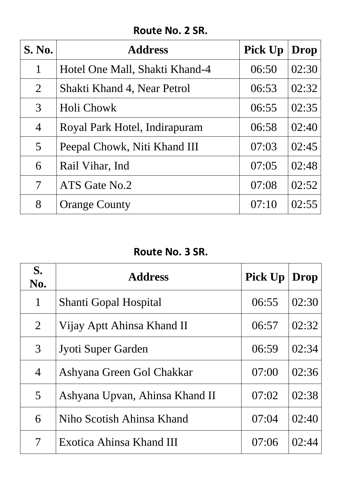### **Route No. 2 SR.**

| <b>S. No.</b>  | <b>Address</b>                 | <b>Pick Up</b> | Drop  |
|----------------|--------------------------------|----------------|-------|
| 1              | Hotel One Mall, Shakti Khand-4 | 06:50          | 02:30 |
| $\overline{2}$ | Shakti Khand 4, Near Petrol    | 06:53          | 02:32 |
| 3              | Holi Chowk                     | 06:55          | 02:35 |
| $\overline{4}$ | Royal Park Hotel, Indirapuram  | 06:58          | 02:40 |
| 5              | Peepal Chowk, Niti Khand III   | 07:03          | 02:45 |
| 6              | Rail Vihar, Ind                | 07:05          | 02:48 |
| 7              | ATS Gate No.2                  | 07:08          | 02:52 |
| 8              | <b>Orange County</b>           | 07:10          | 02:55 |

# **Route No. 3 SR.**

| S.<br>No.      | <b>Address</b>                 | <b>Pick Up</b> | Drop  |
|----------------|--------------------------------|----------------|-------|
| 1              | Shanti Gopal Hospital          | 06:55          | 02:30 |
| $\overline{2}$ | Vijay Aptt Ahinsa Khand II     | 06:57          | 02:32 |
| 3              | Jyoti Super Garden             | 06:59          | 02:34 |
| $\overline{4}$ | Ashyana Green Gol Chakkar      | 07:00          | 02:36 |
| 5              | Ashyana Upvan, Ahinsa Khand II | 07:02          | 02:38 |
| 6              | Niho Scotish Ahinsa Khand      | 07:04          | 02:40 |
| 7              | Exotica Ahinsa Khand III       | 07:06          | 02:44 |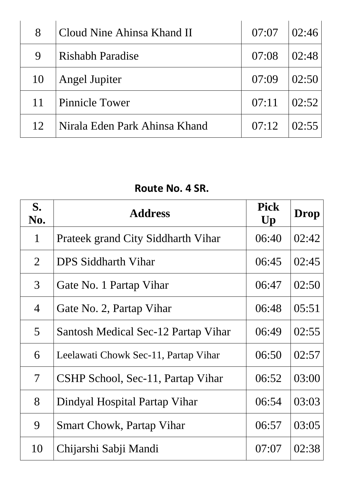| 8           | Cloud Nine Ahinsa Khand II    | 07:07 | 02:46 |
|-------------|-------------------------------|-------|-------|
| $\mathbf Q$ | <b>Rishabh Paradise</b>       | 07:08 | 02:48 |
| 10          | <b>Angel Jupiter</b>          | 07:09 | 02:50 |
| 11          | Pinnicle Tower                | 07:11 | 02:52 |
| 12          | Nirala Eden Park Ahinsa Khand | 07:12 | 02.55 |

## **Route No. 4 SR.**

| S.<br>No.                | <b>Address</b>                       | <b>Pick</b><br>$\mathbf{U}\mathbf{p}$ | <b>Drop</b> |
|--------------------------|--------------------------------------|---------------------------------------|-------------|
| $\mathbf{1}$             | Prateek grand City Siddharth Vihar   | 06:40                                 | 02:42       |
| $\overline{2}$           | <b>DPS Siddharth Vihar</b>           | 06:45                                 | 02:45       |
| $\overline{3}$           | Gate No. 1 Partap Vihar              | 06:47                                 | 02:50       |
| $\overline{4}$           | Gate No. 2, Partap Vihar             | 06:48                                 | 05:51       |
| $\overline{5}$           | Santosh Medical Sec-12 Partap Vihar  | 06:49                                 | 02:55       |
| 6                        | Leelawati Chowk Sec-11, Partap Vihar | 06:50                                 | 02:57       |
| $\overline{\mathcal{L}}$ | CSHP School, Sec-11, Partap Vihar    | 06:52                                 | 03:00       |
| 8                        | Dindyal Hospital Partap Vihar        | 06:54                                 | 03:03       |
| 9                        | <b>Smart Chowk, Partap Vihar</b>     | 06:57                                 | 03:05       |
| 10                       | Chijarshi Sabji Mandi                | 07:07                                 | 02:38       |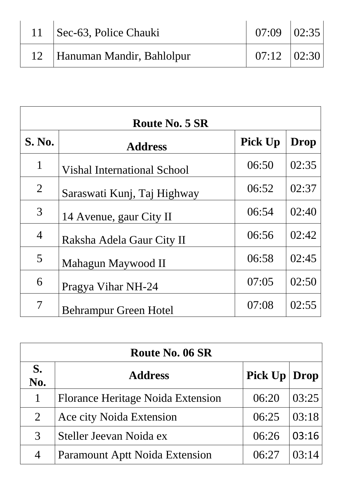| 11   Sec-63, Police Chauki     | $07:09$ $ 02:35 $ |  |
|--------------------------------|-------------------|--|
| 12   Hanuman Mandir, Bahlolpur | $07:12$ $ 02:30 $ |  |

| <b>Route No. 5 SR</b>    |                                    |                |             |
|--------------------------|------------------------------------|----------------|-------------|
| <b>S. No.</b>            | <b>Address</b>                     | <b>Pick Up</b> | <b>Drop</b> |
| $\mathbf{1}$             | <b>Vishal International School</b> | 06:50          | 02:35       |
| $\overline{2}$           | Saraswati Kunj, Taj Highway        | 06:52          | 02:37       |
| $\overline{3}$           | 14 Avenue, gaur City II            | 06:54          | 02:40       |
| $\overline{4}$           | Raksha Adela Gaur City II          | 06:56          | 02:42       |
| 5                        | Mahagun Maywood II                 | 06:58          | 02:45       |
| 6                        | Pragya Vihar NH-24                 | 07:05          | 02:50       |
| $\overline{\mathcal{I}}$ | <b>Behrampur Green Hotel</b>       | 07:08          | 02:55       |

| <b>Route No. 06 SR</b> |                                          |                  |        |
|------------------------|------------------------------------------|------------------|--------|
| S.<br>No.              | <b>Address</b>                           | Pick $Up   Drop$ |        |
| 1                      | <b>Florance Heritage Noida Extension</b> | 06:20            | 03:25  |
| 2                      | Ace city Noida Extension                 | 06:25            | 03:18  |
| $\mathcal{R}$          | Steller Jeevan Noida ex                  | 06:26            | 03:16  |
| 4                      | <b>Paramount Aptt Noida Extension</b>    | 06:27            | 103:14 |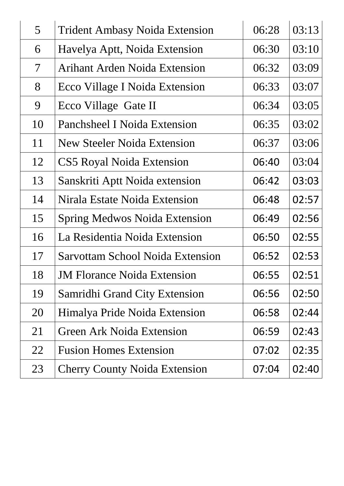| 5 <sup>1</sup>           | <b>Trident Ambasy Noida Extension</b>   | 06:28 | 03:13 |
|--------------------------|-----------------------------------------|-------|-------|
| 6                        | Havelya Aptt, Noida Extension           | 06:30 | 03:10 |
| $\overline{\mathcal{I}}$ | Arihant Arden Noida Extension           | 06:32 | 03:09 |
| 8                        | Ecco Village I Noida Extension          | 06:33 | 03:07 |
| 9                        | Ecco Village Gate II                    | 06:34 | 03:05 |
| 10                       | Panchsheel I Noida Extension            | 06:35 | 03:02 |
| 11                       | <b>New Steeler Noida Extension</b>      | 06:37 | 03:06 |
| 12                       | <b>CS5 Royal Noida Extension</b>        | 06:40 | 03:04 |
| 13                       | Sanskriti Aptt Noida extension          | 06:42 | 03:03 |
| 14                       | Nirala Estate Noida Extension           | 06:48 | 02:57 |
| 15                       | <b>Spring Medwos Noida Extension</b>    | 06:49 | 02:56 |
| 16                       | La Residentia Noida Extension           | 06:50 | 02:55 |
| 17                       | <b>Sarvottam School Noida Extension</b> | 06:52 | 02:53 |
| 18                       | <b>JM Florance Noida Extension</b>      | 06:55 | 02:51 |
| 19                       | <b>Samridhi Grand City Extension</b>    | 06:56 | 02:50 |
| 20                       | Himalya Pride Noida Extension           | 06:58 | 02:44 |
| 21                       | <b>Green Ark Noida Extension</b>        | 06:59 | 02:43 |
| 22                       | <b>Fusion Homes Extension</b>           | 07:02 | 02:35 |
| 23                       | <b>Cherry County Noida Extension</b>    | 07:04 | 02:40 |
|                          |                                         |       |       |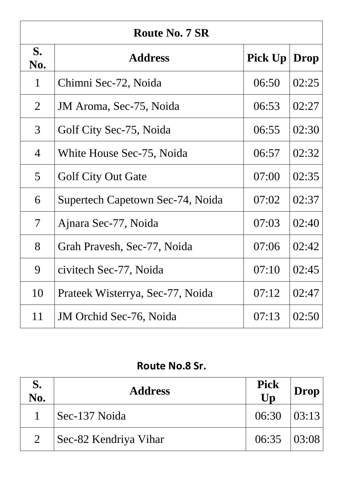| <b>Route No. 7 SR</b> |                                  |                |             |
|-----------------------|----------------------------------|----------------|-------------|
| S.<br>No.             | <b>Address</b>                   | <b>Pick Up</b> | <b>Drop</b> |
| $\mathbf 1$           | Chimni Sec-72, Noida             | 06:50          | 02:25       |
| 2                     | JM Aroma, Sec-75, Noida          | 06:53          | 02:27       |
| 3                     | Golf City Sec-75, Noida          | 06:55          | 02:30       |
| $\overline{4}$        | White House Sec-75, Noida        | 06:57          | 02:32       |
| 5                     | <b>Golf City Out Gate</b>        | 07:00          | 02:35       |
| 6                     | Supertech Capetown Sec-74, Noida | 07:02          | 02:37       |
| 7                     | Ajnara Sec-77, Noida             | 07:03          | 02:40       |
| 8                     | Grah Pravesh, Sec-77, Noida      | 07:06          | 02:42       |
| 9                     | civitech Sec-77, Noida           | 07:10          | 02:45       |
| 10                    | Prateek Wisterrya, Sec-77, Noida | 07:12          | 02:47       |
| 11                    | <b>JM</b> Orchid Sec-76, Noida   | 07:13          | 02:50       |

# **Route No.8 Sr.**

| S.<br>No.      | <b>Address</b>        | <b>Pick</b><br>Up   | Drop |
|----------------|-----------------------|---------------------|------|
|                | Sec-137 Noida         | $06:30$ $03:13$     |      |
| $\overline{2}$ | Sec-82 Kendriya Vihar | $06:35 \quad 03:08$ |      |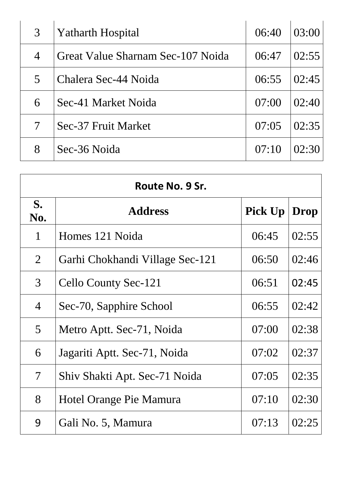| 3              | <b>Yatharth Hospital</b>          | 06:40 | 03:00 |
|----------------|-----------------------------------|-------|-------|
| $\overline{4}$ | Great Value Sharnam Sec-107 Noida | 06:47 | 02:55 |
| 5              | Chalera Sec-44 Noida              | 06:55 | 02:45 |
| 6              | Sec-41 Market Noida               | 07:00 | 02:40 |
|                | Sec-37 Fruit Market               | 07:05 | 02:35 |
| 8              | Sec-36 Noida                      | 07:10 | 02:30 |

| Route No. 9 Sr.          |                                 |                |       |
|--------------------------|---------------------------------|----------------|-------|
| S.<br>No.                | <b>Address</b>                  | <b>Pick Up</b> | Drop  |
| 1                        | Homes 121 Noida                 | 06:45          | 02:55 |
| $\overline{2}$           | Garhi Chokhandi Village Sec-121 | 06:50          | 02:46 |
| 3                        | Cello County Sec-121            | 06:51          | 02:45 |
| 4                        | Sec-70, Sapphire School         | 06:55          | 02:42 |
| $\overline{5}$           | Metro Aptt. Sec-71, Noida       | 07:00          | 02:38 |
| 6                        | Jagariti Aptt. Sec-71, Noida    | 07:02          | 02:37 |
| $\overline{\mathcal{I}}$ | Shiv Shakti Apt. Sec-71 Noida   | 07:05          | 02:35 |
| 8                        | Hotel Orange Pie Mamura         | 07:10          | 02:30 |
| 9                        | Gali No. 5, Mamura              | 07:13          | 02:25 |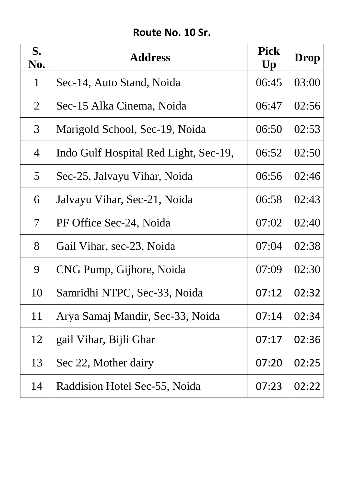# **Route No. 10 Sr.**

| S.<br>No.      | <b>Address</b>                        | <b>Pick</b><br>$\mathbf{U}\mathbf{p}$ | <b>Drop</b> |
|----------------|---------------------------------------|---------------------------------------|-------------|
| $\mathbf{1}$   | Sec-14, Auto Stand, Noida             | 06:45                                 | 03:00       |
| $\overline{2}$ | Sec-15 Alka Cinema, Noida             | 06:47                                 | 02:56       |
| $\mathfrak{Z}$ | Marigold School, Sec-19, Noida        | 06:50                                 | 02:53       |
| $\overline{4}$ | Indo Gulf Hospital Red Light, Sec-19, | 06:52                                 | 02:50       |
| 5 <sup>5</sup> | Sec-25, Jalvayu Vihar, Noida          | 06:56                                 | 02:46       |
| 6              | Jalvayu Vihar, Sec-21, Noida          | 06:58                                 | 02:43       |
| $\mathcal{T}$  | PF Office Sec-24, Noida               | 07:02                                 | 02:40       |
| 8              | Gail Vihar, sec-23, Noida             | 07:04                                 | 02:38       |
| 9              | CNG Pump, Gijhore, Noida              | 07:09                                 | 02:30       |
| 10             | Samridhi NTPC, Sec-33, Noida          | 07:12                                 | 02:32       |
| 11             | Arya Samaj Mandir, Sec-33, Noida      | 07:14                                 | 02:34       |
| 12             | gail Vihar, Bijli Ghar                | 07:17                                 | 02:36       |
| 13             | Sec 22, Mother dairy                  | 07:20                                 | 02:25       |
| 14             | Raddision Hotel Sec-55, Noida         | 07:23                                 | 02:22       |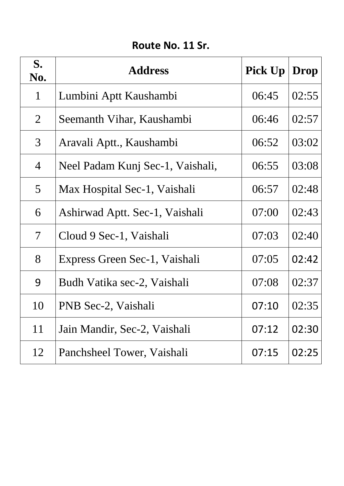## **Route No. 11 Sr.**

| S.<br>No.                | <b>Address</b>                   | <b>Pick Up</b> | Drop  |
|--------------------------|----------------------------------|----------------|-------|
| $\mathbf{1}$             | Lumbini Aptt Kaushambi           | 06:45          | 02:55 |
| $\overline{2}$           | Seemanth Vihar, Kaushambi        | 06:46          | 02:57 |
| 3                        | Aravali Aptt., Kaushambi         | 06:52          | 03:02 |
| $\overline{4}$           | Neel Padam Kunj Sec-1, Vaishali, | 06:55          | 03:08 |
| 5 <sup>5</sup>           | Max Hospital Sec-1, Vaishali     | 06:57          | 02:48 |
| 6                        | Ashirwad Aptt. Sec-1, Vaishali   | 07:00          | 02:43 |
| $\overline{\mathcal{I}}$ | Cloud 9 Sec-1, Vaishali          | 07:03          | 02:40 |
| 8                        | Express Green Sec-1, Vaishali    | 07:05          | 02:42 |
| 9                        | Budh Vatika sec-2, Vaishali      | 07:08          | 02:37 |
| 10                       | PNB Sec-2, Vaishali              | 07:10          | 02:35 |
| 11                       | Jain Mandir, Sec-2, Vaishali     | 07:12          | 02:30 |
| 12                       | Panchsheel Tower, Vaishali       | 07:15          | 02:25 |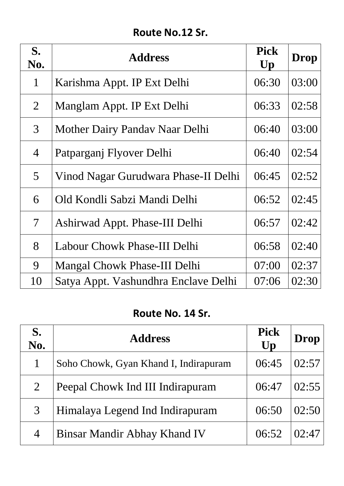# **Route No.12 Sr.**

| S.<br>No.                | <b>Address</b>                       | <b>Pick</b><br>$\mathbf{U}\mathbf{p}$ | Drop  |
|--------------------------|--------------------------------------|---------------------------------------|-------|
| $\mathbf{1}$             | Karishma Appt. IP Ext Delhi          | 06:30                                 | 03:00 |
| $\overline{2}$           | Manglam Appt. IP Ext Delhi           | 06:33                                 | 02:58 |
| 3                        | Mother Dairy Pandav Naar Delhi       | 06:40                                 | 03:00 |
| $\overline{4}$           | Patparganj Flyover Delhi             | 06:40                                 | 02:54 |
| 5 <sup>5</sup>           | Vinod Nagar Gurudwara Phase-II Delhi | 06:45                                 | 02:52 |
| 6                        | Old Kondli Sabzi Mandi Delhi         | 06:52                                 | 02:45 |
| $\overline{\mathcal{L}}$ | Ashirwad Appt. Phase-III Delhi       | 06:57                                 | 02:42 |
| 8                        | Labour Chowk Phase-III Delhi         | 06:58                                 | 02:40 |
| 9                        | <b>Mangal Chowk Phase-III Delhi</b>  | 07:00                                 | 02:37 |
| 10                       | Satya Appt. Vashundhra Enclave Delhi | 07:06                                 | 02:30 |

#### **Route No. 14 Sr.**

| S.<br>No.      | <b>Address</b>                        | <b>Pick</b><br>Up | <b>Drop</b> |
|----------------|---------------------------------------|-------------------|-------------|
| $\mathbf{1}$   | Soho Chowk, Gyan Khand I, Indirapuram | 06:45             | 02:57       |
| $\overline{2}$ | Peepal Chowk Ind III Indirapuram      | 06:47             | 02:55       |
| 3              | Himalaya Legend Ind Indirapuram       | 06:50             | 02:50       |
| 4              | <b>Binsar Mandir Abhay Khand IV</b>   | 06:52             | 02:47       |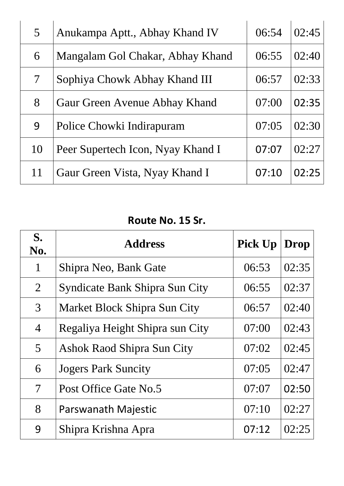| $\mathcal{F}$ | Anukampa Aptt., Abhay Khand IV    | 06:54 | 02:45 |
|---------------|-----------------------------------|-------|-------|
| 6             | Mangalam Gol Chakar, Abhay Khand  | 06:55 | 02:40 |
| $\tau$        | Sophiya Chowk Abhay Khand III     | 06:57 | 02:33 |
| 8             | Gaur Green Avenue Abhay Khand     | 07:00 | 02:35 |
| 9             | Police Chowki Indirapuram         | 07:05 | 02:30 |
| 10            | Peer Supertech Icon, Nyay Khand I | 07:07 | 02:27 |
| 11            | Gaur Green Vista, Nyay Khand I    | 07:10 | 02:25 |

# **Route No. 15 Sr.**

| S.<br>No.                | <b>Address</b>                        | <b>Pick Up</b> | <b>Drop</b> |
|--------------------------|---------------------------------------|----------------|-------------|
| 1                        | Shipra Neo, Bank Gate                 | 06:53          | 02:35       |
| $\overline{2}$           | <b>Syndicate Bank Shipra Sun City</b> | 06:55          | 02:37       |
| 3                        | <b>Market Block Shipra Sun City</b>   | 06:57          | 02:40       |
| $\overline{4}$           | Regaliya Height Shipra sun City       | 07:00          | 02:43       |
| $\overline{5}$           | <b>Ashok Raod Shipra Sun City</b>     | 07:02          | 02:45       |
| 6                        | <b>Jogers Park Suncity</b>            | 07:05          | 02:47       |
| $\overline{\mathcal{I}}$ | Post Office Gate No.5                 | 07:07          | 02:50       |
| 8                        | <b>Parswanath Majestic</b>            | 07:10          | 02:27       |
| 9                        | Shipra Krishna Apra                   | 07:12          | 02:25       |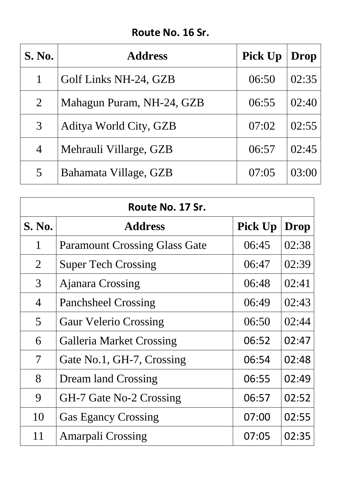# **Route No. 16 Sr.**

| <b>S. No.</b>  | <b>Address</b>            | <b>Pick Up</b> | Drop  |
|----------------|---------------------------|----------------|-------|
|                | Golf Links NH-24, GZB     | 06:50          | 02:35 |
| $\overline{2}$ | Mahagun Puram, NH-24, GZB | 06:55          | 02:40 |
| 3              | Aditya World City, GZB    | 07:02          | 02:55 |
| $\overline{4}$ | Mehrauli Villarge, GZB    | 06:57          | 02:45 |
| 5              | Bahamata Village, GZB     | 07:05          | 03:00 |

| Route No. 17 Sr.         |                                      |                |       |
|--------------------------|--------------------------------------|----------------|-------|
| <b>S. No.</b>            | <b>Address</b>                       | <b>Pick Up</b> | Drop  |
| $\mathbf{1}$             | <b>Paramount Crossing Glass Gate</b> | 06:45          | 02:38 |
| $\overline{2}$           | <b>Super Tech Crossing</b>           | 06:47          | 02:39 |
| 3                        | <b>Ajanara Crossing</b>              | 06:48          | 02:41 |
| $\overline{4}$           | <b>Panchsheel Crossing</b>           | 06:49          | 02:43 |
| 5                        | <b>Gaur Velerio Crossing</b>         | 06:50          | 02:44 |
| 6                        | <b>Galleria Market Crossing</b>      | 06:52          | 02:47 |
| $\overline{\mathcal{I}}$ | Gate No.1, GH-7, Crossing            | 06:54          | 02:48 |
| 8                        | <b>Dream land Crossing</b>           | 06:55          | 02:49 |
| 9                        | GH-7 Gate No-2 Crossing              | 06:57          | 02:52 |
| 10                       | <b>Gas Egancy Crossing</b>           | 07:00          | 02:55 |
| 11                       | <b>Amarpali Crossing</b>             | 07:05          | 02:35 |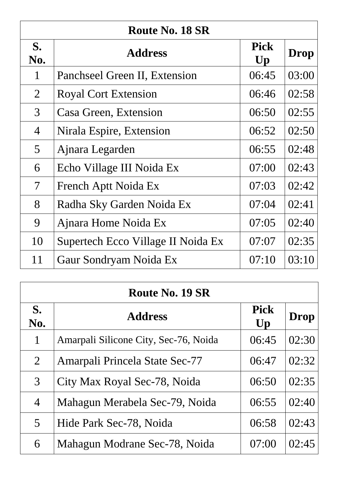| <b>Route No. 18 SR</b>   |                                    |                   |             |
|--------------------------|------------------------------------|-------------------|-------------|
| S.<br>No.                | <b>Address</b>                     | <b>Pick</b><br>Up | <b>Drop</b> |
| $\mathbf{1}$             | Panchseel Green II, Extension      | 06:45             | 03:00       |
| $\overline{2}$           | <b>Royal Cort Extension</b>        | 06:46             | 02:58       |
| 3                        | Casa Green, Extension              | 06:50             | 02:55       |
| $\overline{4}$           | Nirala Espire, Extension           | 06:52             | 02:50       |
| 5                        | Ajnara Legarden                    | 06:55             | 02:48       |
| 6                        | Echo Village III Noida Ex          | 07:00             | 02:43       |
| $\overline{\mathcal{I}}$ | French Aptt Noida Ex               | 07:03             | 02:42       |
| 8                        | Radha Sky Garden Noida Ex          | 07:04             | 02:41       |
| 9                        | Ajnara Home Noida Ex               | 07:05             | 02:40       |
| 10                       | Supertech Ecco Village II Noida Ex | 07:07             | 02:35       |
| 11                       | Gaur Sondryam Noida Ex             | 07:10             | 03:10       |

| <b>Route No. 19 SR</b> |                                       |                                       |             |
|------------------------|---------------------------------------|---------------------------------------|-------------|
| S.<br>No.              | <b>Address</b>                        | <b>Pick</b><br>$\mathbf{U}\mathbf{p}$ | <b>Drop</b> |
| $\mathbf{1}$           | Amarpali Silicone City, Sec-76, Noida | 06:45                                 | 02:30       |
| $\overline{2}$         | Amarpali Princela State Sec-77        | 06:47                                 | 02:32       |
| 3                      | City Max Royal Sec-78, Noida          | 06:50                                 | 02:35       |
| $\overline{4}$         | Mahagun Merabela Sec-79, Noida        | 06:55                                 | 02:40       |
| 5                      | Hide Park Sec-78, Noida               | 06:58                                 | 02:43       |
| 6                      | Mahagun Modrane Sec-78, Noida         | 07:00                                 | 02:45       |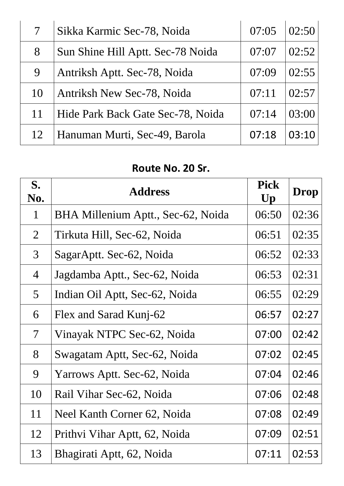| $7\phantom{.}$ | Sikka Karmic Sec-78, Noida        | 07:05   | 02:50 |
|----------------|-----------------------------------|---------|-------|
| 8              | Sun Shine Hill Aptt. Sec-78 Noida | 07:07   | 02:52 |
| 9              | Antriksh Aptt. Sec-78, Noida      | (17:19) | 02:55 |
| 10             | <b>Antriksh New Sec-78, Noida</b> | 07:11   | 02:57 |
| 11             | Hide Park Back Gate Sec-78, Noida | 07:14   | 03:00 |
| 12             | Hanuman Murti, Sec-49, Barola     | 07:18   | 03:10 |

## **Route No. 20 Sr.**

| S.<br>No.                | <b>Address</b>                     | <b>Pick</b><br>Up | <b>Drop</b> |
|--------------------------|------------------------------------|-------------------|-------------|
| $\mathbf{1}$             | BHA Millenium Aptt., Sec-62, Noida | 06:50             | 02:36       |
| $\overline{2}$           | Tirkuta Hill, Sec-62, Noida        | 06:51             | 02:35       |
| $\mathfrak{Z}$           | SagarAptt. Sec-62, Noida           | 06:52             | 02:33       |
| $\overline{4}$           | Jagdamba Aptt., Sec-62, Noida      | 06:53             | 02:31       |
| $\overline{5}$           | Indian Oil Aptt, Sec-62, Noida     | 06:55             | 02:29       |
| 6                        | Flex and Sarad Kunj-62             | 06:57             | 02:27       |
| $\overline{\mathcal{L}}$ | Vinayak NTPC Sec-62, Noida         | 07:00             | 02:42       |
| 8                        | Swagatam Aptt, Sec-62, Noida       | 07:02             | 02:45       |
| 9                        | Yarrows Aptt. Sec-62, Noida        | 07:04             | 02:46       |
| 10                       | Rail Vihar Sec-62, Noida           | 07:06             | 02:48       |
| 11                       | Neel Kanth Corner 62, Noida        | 07:08             | 02:49       |
| 12                       | Prithvi Vihar Aptt, 62, Noida      | 07:09             | 02:51       |
| 13                       | Bhagirati Aptt, 62, Noida          | 07:11             | 02:53       |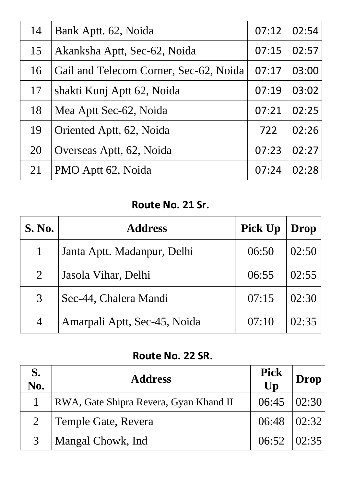| 14 | Bank Aptt. 62, Noida                   | 07:12 | 02:54 |
|----|----------------------------------------|-------|-------|
| 15 | Akanksha Aptt, Sec-62, Noida           | 07:15 | 02:57 |
| 16 | Gail and Telecom Corner, Sec-62, Noida | 07:17 | 03:00 |
| 17 | shakti Kunj Aptt 62, Noida             | 07:19 | 03:02 |
| 18 | Mea Aptt Sec-62, Noida                 | 07:21 | 02:25 |
| 19 | Oriented Aptt, 62, Noida               | 722   | 02:26 |
| 20 | Overseas Aptt, 62, Noida               | 07:23 | 02:27 |
| 21 | PMO Aptt 62, Noida                     | 07:24 | 02:28 |
|    |                                        |       |       |

# **Route No. 21 Sr.**

| <b>S. No.</b>  | <b>Address</b>               | <b>Pick Up</b> | Drop  |
|----------------|------------------------------|----------------|-------|
| $\mathbf{1}$   | Janta Aptt. Madanpur, Delhi  | 06:50          | 02:50 |
| $\overline{2}$ | Jasola Vihar, Delhi          | 06:55          | 02:55 |
| 3              | Sec-44, Chalera Mandi        | 07:15          | 02:30 |
| $\overline{4}$ | Amarpali Aptt, Sec-45, Noida | 07:10          | 02:35 |

# **Route No. 22 SR.**

| S.<br>No. | <b>Address</b>                         | <b>Pick</b><br>Up | $\mathbf{Drop}$ |
|-----------|----------------------------------------|-------------------|-----------------|
|           | RWA, Gate Shipra Revera, Gyan Khand II | $06:45$ $02:30$   |                 |
| $2^{-}$   | Temple Gate, Revera                    | $06:48$ $02:32$   |                 |
| 3         | Mangal Chowk, Ind                      | $06:52$ $ 02:35 $ |                 |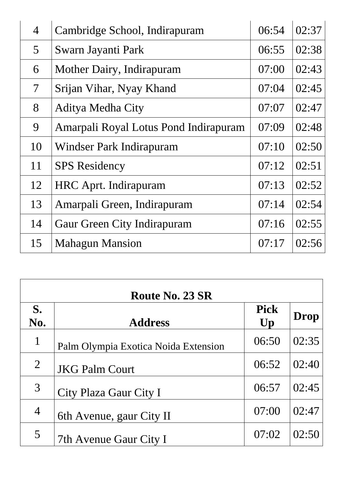| $\overline{4}$ | Cambridge School, Indirapuram         | 06:54 | 02:37 |
|----------------|---------------------------------------|-------|-------|
| $\overline{5}$ | Swarn Jayanti Park                    | 06:55 | 02:38 |
| 6              | Mother Dairy, Indirapuram             | 07:00 | 02:43 |
| $\mathcal{T}$  | Srijan Vihar, Nyay Khand              | 07:04 | 02:45 |
| 8              | <b>Aditya Medha City</b>              | 07:07 | 02:47 |
| 9              | Amarpali Royal Lotus Pond Indirapuram | 07:09 | 02:48 |
| 10             | Windser Park Indirapuram              | 07:10 | 02:50 |
| 11             | <b>SPS</b> Residency                  | 07:12 | 02:51 |
| 12             | <b>HRC</b> Aprt. Indirapuram          | 07:13 | 02:52 |
| 13             | Amarpali Green, Indirapuram           | 07:14 | 02:54 |
| 14             | <b>Gaur Green City Indirapuram</b>    | 07:16 | 02:55 |
| 15             | <b>Mahagun Mansion</b>                | 07:17 | 02:56 |

| <b>Route No. 23 SR</b> |                                      |                                       |             |
|------------------------|--------------------------------------|---------------------------------------|-------------|
| S.<br>No.              | <b>Address</b>                       | <b>Pick</b><br>$\mathbf{U}\mathbf{p}$ | <b>Drop</b> |
| $\mathbf{1}$           | Palm Olympia Exotica Noida Extension | 06:50                                 | 02:35       |
| $\overline{2}$         | <b>JKG Palm Court</b>                | 06:52                                 | 02:40       |
| 3                      | City Plaza Gaur City I               | 06:57                                 | 02:45       |
| $\overline{4}$         | 6th Avenue, gaur City II             | 07:00                                 | 02:47       |
| 5                      | 7th Avenue Gaur City I               | 07:02                                 | 02:50       |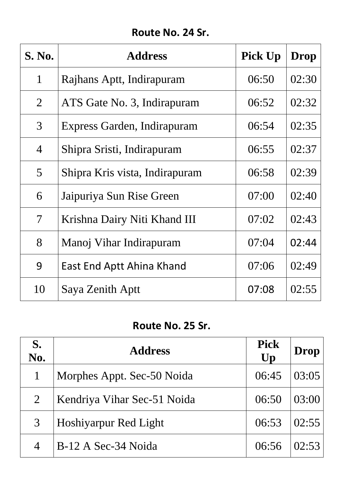# **Route No. 24 Sr.**

| <b>S. No.</b>            | <b>Address</b>                 | <b>Pick Up</b> | Drop  |
|--------------------------|--------------------------------|----------------|-------|
| $\mathbf{1}$             | Rajhans Aptt, Indirapuram      | 06:50          | 02:30 |
| 2                        | ATS Gate No. 3, Indirapuram    | 06:52          | 02:32 |
| $\mathfrak{Z}$           | Express Garden, Indirapuram    | 06:54          | 02:35 |
| $\overline{4}$           | Shipra Sristi, Indirapuram     | 06:55          | 02:37 |
| $\mathcal{5}$            | Shipra Kris vista, Indirapuram | 06:58          | 02:39 |
| 6                        | Jaipuriya Sun Rise Green       | 07:00          | 02:40 |
| $\overline{\mathcal{I}}$ | Krishna Dairy Niti Khand III   | 07:02          | 02:43 |
| 8                        | Manoj Vihar Indirapuram        | 07:04          | 02:44 |
| 9                        | East End Aptt Ahina Khand      | 07:06          | 02:49 |
| 10                       | Saya Zenith Aptt               | 07:08          | 02:55 |

### **Route No. 25 Sr.**

| S.<br>No.      | <b>Address</b>              | <b>Pick</b><br>Up | Drop  |
|----------------|-----------------------------|-------------------|-------|
|                | Morphes Appt. Sec-50 Noida  | 06:45             | 03:05 |
| $\overline{2}$ | Kendriya Vihar Sec-51 Noida | 06:50             | 03:00 |
| 3              | Hoshiyarpur Red Light       | 06:53             | 02:55 |
| 4              | B-12 A Sec-34 Noida         | 06:56             | 02:53 |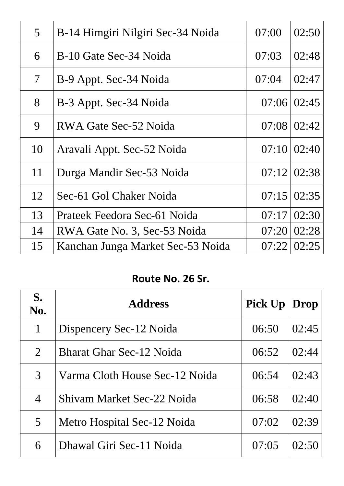| $\mathfrak{S}$           | B-14 Himgiri Nilgiri Sec-34 Noida | 07:00 | 02:50 |
|--------------------------|-----------------------------------|-------|-------|
| 6                        | B-10 Gate Sec-34 Noida            | 07:03 | 02:48 |
| $\overline{\mathcal{L}}$ | B-9 Appt. Sec-34 Noida            | 07:04 | 02:47 |
| 8                        | B-3 Appt. Sec-34 Noida            | 07:06 | 02:45 |
| 9                        | RWA Gate Sec-52 Noida             | 07:08 | 02:42 |
| 10                       | Aravali Appt. Sec-52 Noida        | 07:10 | 02:40 |
| 11                       | Durga Mandir Sec-53 Noida         | 07:12 | 02:38 |
| 12                       | Sec-61 Gol Chaker Noida           | 07:15 | 02:35 |
| 13                       | Prateek Feedora Sec-61 Noida      | 07:17 | 02:30 |
| 14                       | RWA Gate No. 3, Sec-53 Noida      | 07:20 | 02:28 |
| 15                       | Kanchan Junga Market Sec-53 Noida | 07:22 | 02:25 |

### **Route No. 26 Sr.**

| S.<br>No.      | <b>Address</b>                  | <b>Pick Up</b> | Drop  |
|----------------|---------------------------------|----------------|-------|
| 1              | Dispencery Sec-12 Noida         | 06:50          | 02:45 |
| 2              | <b>Bharat Ghar Sec-12 Noida</b> | 06:52          | 02:44 |
| 3              | Varma Cloth House Sec-12 Noida  | 06:54          | 02:43 |
| $\overline{4}$ | Shiyam Market Sec-22 Noida      | 06:58          | 02:40 |
| $\overline{5}$ | Metro Hospital Sec-12 Noida     | 07:02          | 02:39 |
| 6              | Dhawal Giri Sec-11 Noida        | 07:05          | 02:50 |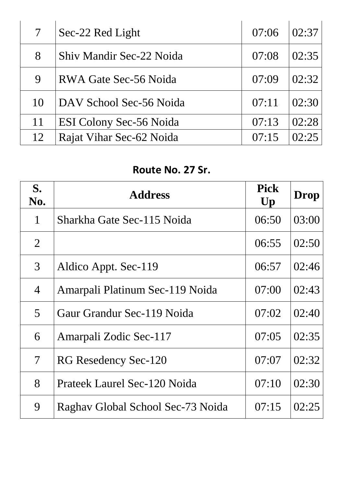| $7\overline{ }$ | Sec-22 Red Light         | 07:06 | 02:37 |
|-----------------|--------------------------|-------|-------|
| 8               | Shiv Mandir Sec-22 Noida | 07:08 | 02:35 |
| 9               | RWA Gate Sec-56 Noida    | 07:09 | 02:32 |
| 10              | DAV School Sec-56 Noida  | 07:11 | 02:30 |
| 11              | ESI Colony Sec-56 Noida  | 07:13 | 02:28 |
| 12              | Rajat Vihar Sec-62 Noida | 07:15 | 02.25 |

#### **Route No. 27 Sr.**

| S.<br>No.                | <b>Address</b>                    | <b>Pick</b><br>Up | <b>Drop</b> |
|--------------------------|-----------------------------------|-------------------|-------------|
| 1                        | Sharkha Gate Sec-115 Noida        | 06:50             | 03:00       |
| $\overline{2}$           |                                   | 06:55             | 02:50       |
| 3                        | Aldico Appt. Sec-119              | 06:57             | 02:46       |
| 4                        | Amarpali Platinum Sec-119 Noida   | 07:00             | 02:43       |
| 5                        | Gaur Grandur Sec-119 Noida        | 07:02             | 02:40       |
| 6                        | Amarpali Zodic Sec-117            | 07:05             | 02:35       |
| $\overline{\mathcal{L}}$ | RG Resedency Sec-120              | 07:07             | 02:32       |
| 8                        | Prateek Laurel Sec-120 Noida      | 07:10             | 02:30       |
| 9                        | Raghav Global School Sec-73 Noida | 07:15             | 02:25       |